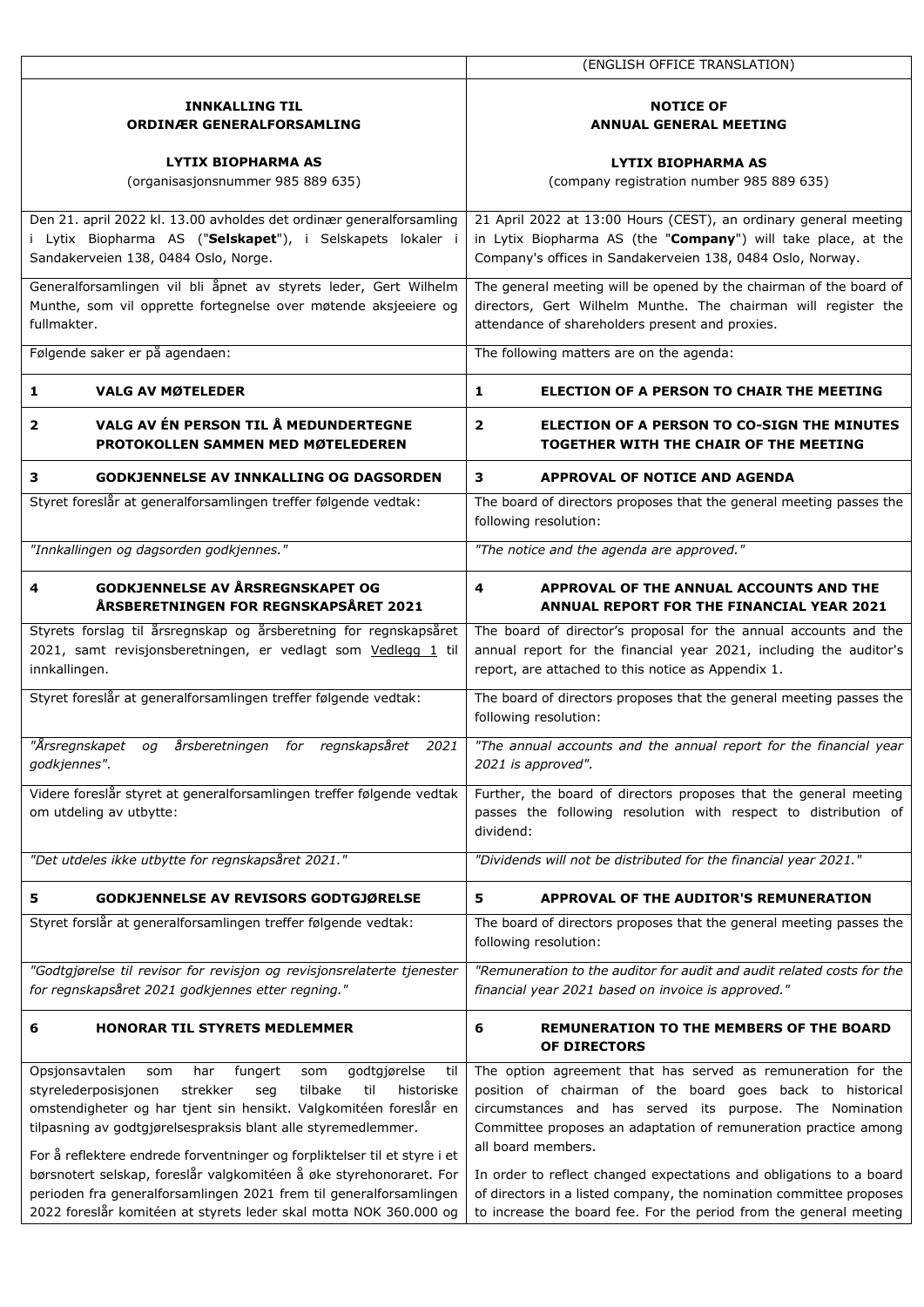|                                                                                                        | (ENGLISH OFFICE TRANSLATION)                                                                                   |  |  |  |  |  |
|--------------------------------------------------------------------------------------------------------|----------------------------------------------------------------------------------------------------------------|--|--|--|--|--|
|                                                                                                        |                                                                                                                |  |  |  |  |  |
| <b>INNKALLING TIL</b>                                                                                  | <b>NOTICE OF</b>                                                                                               |  |  |  |  |  |
| <b>ORDINÆR GENERALFORSAMLING</b>                                                                       | <b>ANNUAL GENERAL MEETING</b>                                                                                  |  |  |  |  |  |
|                                                                                                        |                                                                                                                |  |  |  |  |  |
| LYTIX BIOPHARMA AS                                                                                     | <b>LYTIX BIOPHARMA AS</b>                                                                                      |  |  |  |  |  |
| (organisasjonsnummer 985 889 635)                                                                      | (company registration number 985 889 635)                                                                      |  |  |  |  |  |
|                                                                                                        |                                                                                                                |  |  |  |  |  |
| Den 21. april 2022 kl. 13.00 avholdes det ordinær generalforsamling                                    | 21 April 2022 at 13:00 Hours (CEST), an ordinary general meeting                                               |  |  |  |  |  |
| i Lytix Biopharma AS ("Selskapet"), i Selskapets lokaler i                                             | in Lytix Biopharma AS (the "Company") will take place, at the                                                  |  |  |  |  |  |
| Sandakerveien 138, 0484 Oslo, Norge.                                                                   | Company's offices in Sandakerveien 138, 0484 Oslo, Norway.                                                     |  |  |  |  |  |
| Generalforsamlingen vil bli åpnet av styrets leder, Gert Wilhelm                                       | The general meeting will be opened by the chairman of the board of                                             |  |  |  |  |  |
| Munthe, som vil opprette fortegnelse over møtende aksjeeiere og                                        | directors, Gert Wilhelm Munthe. The chairman will register the                                                 |  |  |  |  |  |
| fullmakter.                                                                                            | attendance of shareholders present and proxies.                                                                |  |  |  |  |  |
|                                                                                                        |                                                                                                                |  |  |  |  |  |
| Følgende saker er på agendaen:                                                                         | The following matters are on the agenda:                                                                       |  |  |  |  |  |
| $\mathbf{1}$<br><b>VALG AV MØTELEDER</b>                                                               | 1<br><b>ELECTION OF A PERSON TO CHAIR THE MEETING</b>                                                          |  |  |  |  |  |
| VALG AV ÉN PERSON TIL Å MEDUNDERTEGNE<br>$\overline{\mathbf{2}}$<br>PROTOKOLLEN SAMMEN MED MØTELEDEREN | $\overline{2}$<br><b>ELECTION OF A PERSON TO CO-SIGN THE MINUTES</b><br>TOGETHER WITH THE CHAIR OF THE MEETING |  |  |  |  |  |
| 3<br><b>GODKJENNELSE AV INNKALLING OG DAGSORDEN</b>                                                    | 3<br>APPROVAL OF NOTICE AND AGENDA                                                                             |  |  |  |  |  |
| Styret foreslår at generalforsamlingen treffer følgende vedtak:                                        | The board of directors proposes that the general meeting passes the                                            |  |  |  |  |  |
|                                                                                                        | following resolution:                                                                                          |  |  |  |  |  |
| "Innkallingen og dagsorden godkjennes."                                                                | "The notice and the agenda are approved."                                                                      |  |  |  |  |  |
|                                                                                                        |                                                                                                                |  |  |  |  |  |
| <b>GODKJENNELSE AV ÅRSREGNSKAPET OG</b><br>4                                                           | 4<br>APPROVAL OF THE ANNUAL ACCOUNTS AND THE                                                                   |  |  |  |  |  |
| ÅRSBERETNINGEN FOR REGNSKAPSÅRET 2021                                                                  | ANNUAL REPORT FOR THE FINANCIAL YEAR 2021                                                                      |  |  |  |  |  |
| Styrets forslag til årsregnskap og årsberetning for regnskapsåret                                      | The board of director's proposal for the annual accounts and the                                               |  |  |  |  |  |
| 2021, samt revisjonsberetningen, er vedlagt som Vedlegg 1 til                                          | annual report for the financial year 2021, including the auditor's                                             |  |  |  |  |  |
| innkallingen.                                                                                          | report, are attached to this notice as Appendix 1.                                                             |  |  |  |  |  |
| Styret foreslår at generalforsamlingen treffer følgende vedtak:                                        | The board of directors proposes that the general meeting passes the                                            |  |  |  |  |  |
|                                                                                                        | following resolution:                                                                                          |  |  |  |  |  |
|                                                                                                        |                                                                                                                |  |  |  |  |  |
| "Årsregnskapet<br>årsberetningen for regnskapsåret<br>2021<br>og                                       | "The annual accounts and the annual report for the financial year                                              |  |  |  |  |  |
| godkjennes".                                                                                           | 2021 is approved".                                                                                             |  |  |  |  |  |
| Videre foreslår styret at generalforsamlingen treffer følgende vedtak                                  | Further, the board of directors proposes that the general meeting                                              |  |  |  |  |  |
| om utdeling av utbytte:                                                                                | passes the following resolution with respect to distribution of                                                |  |  |  |  |  |
|                                                                                                        | dividend:                                                                                                      |  |  |  |  |  |
|                                                                                                        |                                                                                                                |  |  |  |  |  |
| "Det utdeles ikke utbytte for regnskapsåret 2021."                                                     | "Dividends will not be distributed for the financial year 2021."                                               |  |  |  |  |  |
| <b>GODKJENNELSE AV REVISORS GODTGJØRELSE</b><br>5                                                      | 5<br>APPROVAL OF THE AUDITOR'S REMUNERATION                                                                    |  |  |  |  |  |
| Styret forslår at generalforsamlingen treffer følgende vedtak:                                         | The board of directors proposes that the general meeting passes the<br>following resolution:                   |  |  |  |  |  |
|                                                                                                        |                                                                                                                |  |  |  |  |  |
| "Godtgjørelse til revisor for revisjon og revisjonsrelaterte tjenester                                 | "Remuneration to the auditor for audit and audit related costs for the                                         |  |  |  |  |  |
| for regnskapsåret 2021 godkjennes etter regning."                                                      | financial year 2021 based on invoice is approved."                                                             |  |  |  |  |  |
| <b>HONORAR TIL STYRETS MEDLEMMER</b><br>6                                                              | 6<br>REMUNERATION TO THE MEMBERS OF THE BOARD                                                                  |  |  |  |  |  |
|                                                                                                        | OF DIRECTORS                                                                                                   |  |  |  |  |  |
| Opsjonsavtalen<br>som<br>har<br>fungert<br>godtgjørelse<br>til<br>som                                  | The option agreement that has served as remuneration for the                                                   |  |  |  |  |  |
| tilbake<br>historiske<br>styrelederposisjonen<br>strekker<br>seq<br>til                                | position of chairman of the board goes back to historical                                                      |  |  |  |  |  |
| omstendigheter og har tjent sin hensikt. Valgkomitéen foreslår en                                      | circumstances and has served its purpose. The Nomination                                                       |  |  |  |  |  |
| tilpasning av godtgjørelsespraksis blant alle styremedlemmer.                                          | Committee proposes an adaptation of remuneration practice among                                                |  |  |  |  |  |
|                                                                                                        | all board members.                                                                                             |  |  |  |  |  |
| For å reflektere endrede forventninger og forpliktelser til et styre i et                              |                                                                                                                |  |  |  |  |  |
| børsnotert selskap, foreslår valgkomitéen å øke styrehonoraret. For                                    | In order to reflect changed expectations and obligations to a board                                            |  |  |  |  |  |
| perioden fra generalforsamlingen 2021 frem til generalforsamlingen                                     | of directors in a listed company, the nomination committee proposes                                            |  |  |  |  |  |
| 2022 foreslår komitéen at styrets leder skal motta NOK 360.000 og                                      | to increase the board fee. For the period from the general meeting                                             |  |  |  |  |  |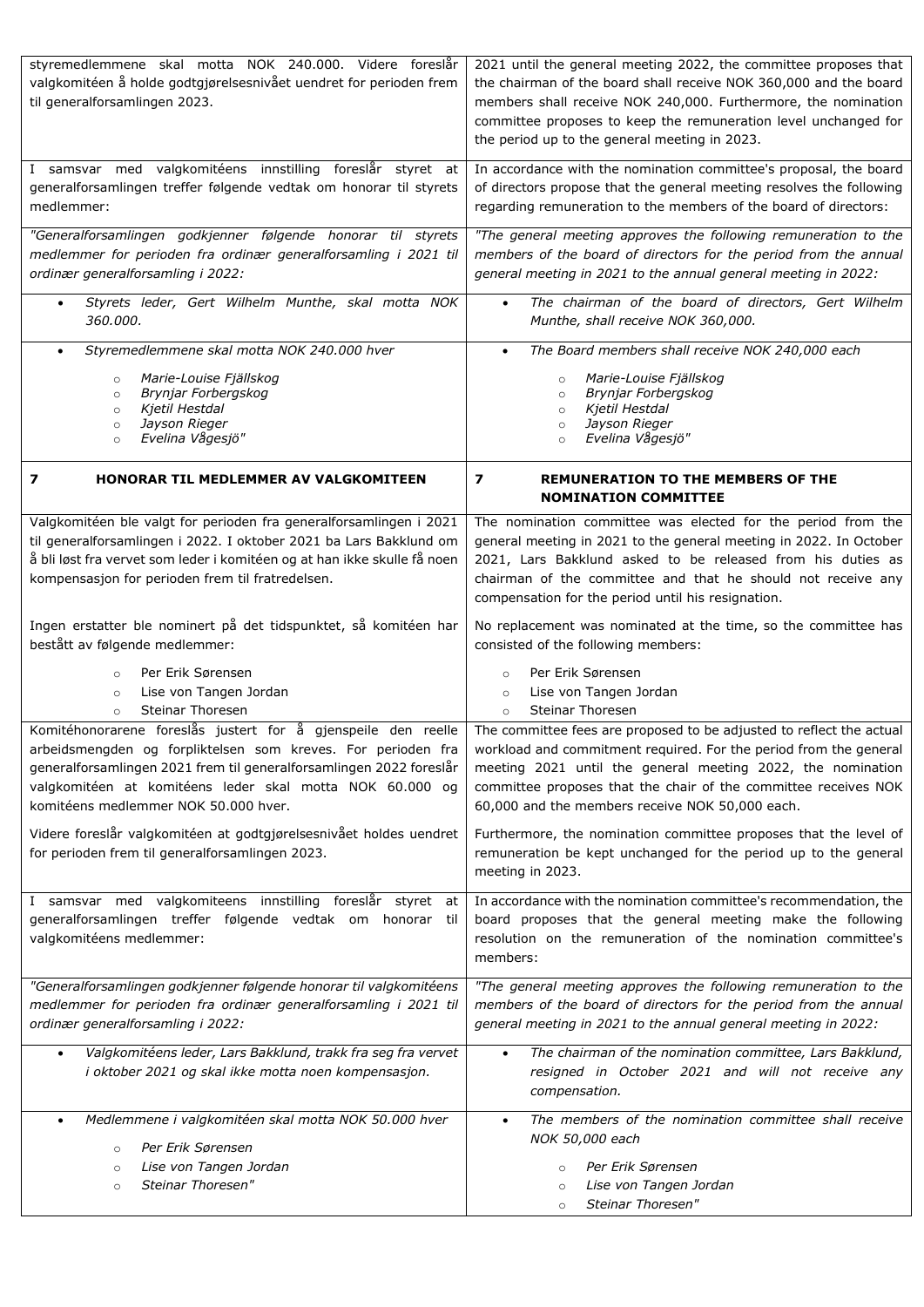| styremedlemmene skal motta NOK 240.000. Videre foreslår<br>valgkomitéen å holde godtgjørelsesnivået uendret for perioden frem<br>til generalforsamlingen 2023.                                                                                                           | 2021 until the general meeting 2022, the committee proposes that<br>the chairman of the board shall receive NOK 360,000 and the board<br>members shall receive NOK 240,000. Furthermore, the nomination<br>committee proposes to keep the remuneration level unchanged for<br>the period up to the general meeting in 2023.                                                                 |
|--------------------------------------------------------------------------------------------------------------------------------------------------------------------------------------------------------------------------------------------------------------------------|---------------------------------------------------------------------------------------------------------------------------------------------------------------------------------------------------------------------------------------------------------------------------------------------------------------------------------------------------------------------------------------------|
| I samsvar med valgkomitéens innstilling foreslår styret at                                                                                                                                                                                                               | In accordance with the nomination committee's proposal, the board                                                                                                                                                                                                                                                                                                                           |
| generalforsamlingen treffer følgende vedtak om honorar til styrets                                                                                                                                                                                                       | of directors propose that the general meeting resolves the following                                                                                                                                                                                                                                                                                                                        |
| medlemmer:                                                                                                                                                                                                                                                               | regarding remuneration to the members of the board of directors:                                                                                                                                                                                                                                                                                                                            |
| "Generalforsamlingen godkjenner følgende honorar til styrets                                                                                                                                                                                                             | "The general meeting approves the following remuneration to the                                                                                                                                                                                                                                                                                                                             |
| medlemmer for perioden fra ordinær generalforsamling i 2021 til                                                                                                                                                                                                          | members of the board of directors for the period from the annual                                                                                                                                                                                                                                                                                                                            |
| ordinær generalforsamling i 2022:                                                                                                                                                                                                                                        | general meeting in 2021 to the annual general meeting in 2022:                                                                                                                                                                                                                                                                                                                              |
| Styrets leder, Gert Wilhelm Munthe, skal motta NOK                                                                                                                                                                                                                       | The chairman of the board of directors, Gert Wilhelm                                                                                                                                                                                                                                                                                                                                        |
| $\bullet$                                                                                                                                                                                                                                                                | $\bullet$                                                                                                                                                                                                                                                                                                                                                                                   |
| 360.000.                                                                                                                                                                                                                                                                 | Munthe, shall receive NOK 360,000.                                                                                                                                                                                                                                                                                                                                                          |
| Styremedlemmene skal motta NOK 240.000 hver                                                                                                                                                                                                                              | The Board members shall receive NOK 240,000 each                                                                                                                                                                                                                                                                                                                                            |
| $\bullet$                                                                                                                                                                                                                                                                | $\bullet$                                                                                                                                                                                                                                                                                                                                                                                   |
| Marie-Louise Fjällskog                                                                                                                                                                                                                                                   | Marie-Louise Fjällskog                                                                                                                                                                                                                                                                                                                                                                      |
| $\circ$                                                                                                                                                                                                                                                                  | $\circ$                                                                                                                                                                                                                                                                                                                                                                                     |
| Brynjar Forbergskog                                                                                                                                                                                                                                                      | Brynjar Forbergskog                                                                                                                                                                                                                                                                                                                                                                         |
| $\circ$                                                                                                                                                                                                                                                                  | $\circ$                                                                                                                                                                                                                                                                                                                                                                                     |
| Kjetil Hestdal                                                                                                                                                                                                                                                           | Kjetil Hestdal                                                                                                                                                                                                                                                                                                                                                                              |
| $\circ$                                                                                                                                                                                                                                                                  | $\circ$                                                                                                                                                                                                                                                                                                                                                                                     |
| Jayson Rieger                                                                                                                                                                                                                                                            | Jayson Rieger                                                                                                                                                                                                                                                                                                                                                                               |
| $\circ$                                                                                                                                                                                                                                                                  | $\circ$                                                                                                                                                                                                                                                                                                                                                                                     |
| Evelina Vågesjö"                                                                                                                                                                                                                                                         | Evelina Vågesjö"                                                                                                                                                                                                                                                                                                                                                                            |
| $\circ$                                                                                                                                                                                                                                                                  | $\circ$                                                                                                                                                                                                                                                                                                                                                                                     |
| HONORAR TIL MEDLEMMER AV VALGKOMITEEN<br>7                                                                                                                                                                                                                               | 7<br>REMUNERATION TO THE MEMBERS OF THE<br><b>NOMINATION COMMITTEE</b>                                                                                                                                                                                                                                                                                                                      |
| Valgkomitéen ble valgt for perioden fra generalforsamlingen i 2021<br>til generalforsamlingen i 2022. I oktober 2021 ba Lars Bakklund om<br>å bli løst fra vervet som leder i komitéen og at han ikke skulle få noen<br>kompensasjon for perioden frem til fratredelsen. | The nomination committee was elected for the period from the<br>general meeting in 2021 to the general meeting in 2022. In October<br>2021, Lars Bakklund asked to be released from his duties as<br>chairman of the committee and that he should not receive any<br>compensation for the period until his resignation.                                                                     |
| Ingen erstatter ble nominert på det tidspunktet, så komitéen har                                                                                                                                                                                                         | No replacement was nominated at the time, so the committee has                                                                                                                                                                                                                                                                                                                              |
| bestått av følgende medlemmer:                                                                                                                                                                                                                                           | consisted of the following members:                                                                                                                                                                                                                                                                                                                                                         |
| Per Erik Sørensen                                                                                                                                                                                                                                                        | Per Erik Sørensen                                                                                                                                                                                                                                                                                                                                                                           |
| $\circ$                                                                                                                                                                                                                                                                  | $\circ$                                                                                                                                                                                                                                                                                                                                                                                     |
| Lise von Tangen Jordan                                                                                                                                                                                                                                                   | Lise von Tangen Jordan                                                                                                                                                                                                                                                                                                                                                                      |
| $\circ$                                                                                                                                                                                                                                                                  | $\circ$                                                                                                                                                                                                                                                                                                                                                                                     |
| <b>Steinar Thoresen</b>                                                                                                                                                                                                                                                  | <b>Steinar Thoresen</b>                                                                                                                                                                                                                                                                                                                                                                     |
| $\circ$                                                                                                                                                                                                                                                                  | $\circ$                                                                                                                                                                                                                                                                                                                                                                                     |
| Komitéhonorarene foreslås justert for å gjenspeile den reelle<br>generalforsamlingen 2021 frem til generalforsamlingen 2022 foreslår<br>valgkomitéen at komitéens leder skal motta NOK 60.000 og<br>komitéens medlemmer NOK 50.000 hver.                                 | The committee fees are proposed to be adjusted to reflect the actual<br>arbeidsmengden og forpliktelsen som kreves. For perioden fra workload and commitment required. For the period from the general<br>meeting 2021 until the general meeting 2022, the nomination<br>committee proposes that the chair of the committee receives NOK<br>60,000 and the members receive NOK 50,000 each. |
| Videre foreslår valgkomitéen at godtgjørelsesnivået holdes uendret<br>for perioden frem til generalforsamlingen 2023.                                                                                                                                                    | Furthermore, the nomination committee proposes that the level of<br>remuneration be kept unchanged for the period up to the general<br>meeting in 2023.                                                                                                                                                                                                                                     |
| I samsvar med valgkomiteens innstilling foreslår styret at<br>generalforsamlingen treffer følgende vedtak om honorar til<br>valgkomitéens medlemmer:                                                                                                                     | In accordance with the nomination committee's recommendation, the<br>board proposes that the general meeting make the following<br>resolution on the remuneration of the nomination committee's<br>members:                                                                                                                                                                                 |
| "Generalforsamlingen godkjenner følgende honorar til valgkomitéens                                                                                                                                                                                                       | "The general meeting approves the following remuneration to the                                                                                                                                                                                                                                                                                                                             |
| medlemmer for perioden fra ordinær generalforsamling i 2021 til                                                                                                                                                                                                          | members of the board of directors for the period from the annual                                                                                                                                                                                                                                                                                                                            |
| ordinær generalforsamling i 2022:                                                                                                                                                                                                                                        | general meeting in 2021 to the annual general meeting in 2022:                                                                                                                                                                                                                                                                                                                              |
| Valgkomitéens leder, Lars Bakklund, trakk fra seg fra vervet<br>$\bullet$<br>i oktober 2021 og skal ikke motta noen kompensasjon.                                                                                                                                        | The chairman of the nomination committee, Lars Bakklund,<br>$\bullet$<br>resigned in October 2021 and will not receive any<br>compensation.                                                                                                                                                                                                                                                 |
| Medlemmene i valgkomitéen skal motta NOK 50.000 hver<br>$\bullet$<br>Per Erik Sørensen<br>$\circ$<br>Lise von Tangen Jordan<br>$\circ$<br>Steinar Thoresen"<br>$\circ$                                                                                                   | The members of the nomination committee shall receive<br>$\bullet$<br>NOK 50,000 each<br>Per Erik Sørensen<br>$\circ$<br>Lise von Tangen Jordan<br>$\circ$<br>Steinar Thoresen"<br>$\circ$                                                                                                                                                                                                  |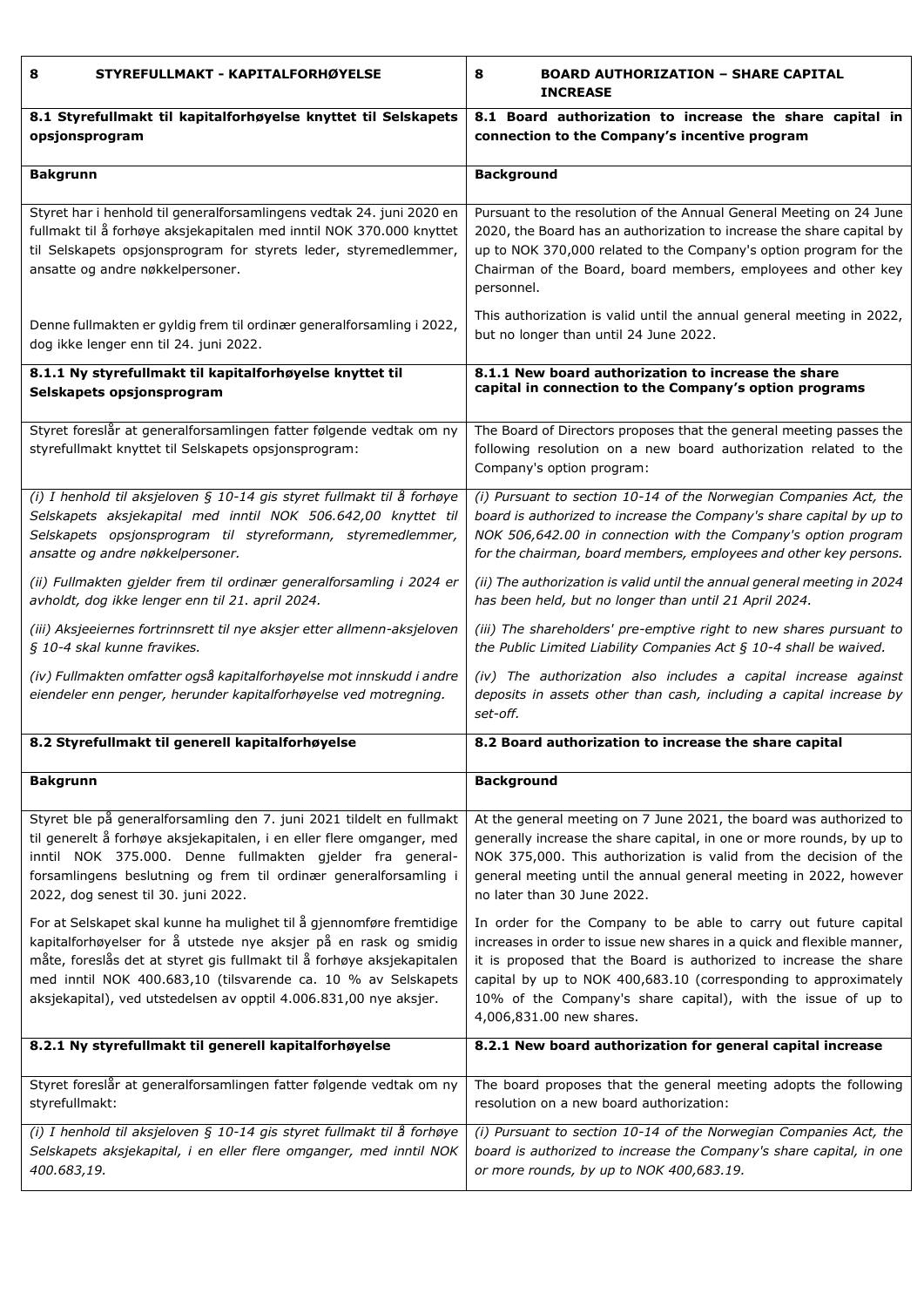| STYREFULLMAKT - KAPITALFORHØYELSE<br>8                                                                                                                                                                                                                                                                                                                   | <b>BOARD AUTHORIZATION - SHARE CAPITAL</b><br>8<br><b>INCREASE</b>                                                                                                                                                                                                                                                                                                            |  |  |  |
|----------------------------------------------------------------------------------------------------------------------------------------------------------------------------------------------------------------------------------------------------------------------------------------------------------------------------------------------------------|-------------------------------------------------------------------------------------------------------------------------------------------------------------------------------------------------------------------------------------------------------------------------------------------------------------------------------------------------------------------------------|--|--|--|
| 8.1 Styrefullmakt til kapitalforhøyelse knyttet til Selskapets                                                                                                                                                                                                                                                                                           | 8.1 Board authorization to increase the share capital in                                                                                                                                                                                                                                                                                                                      |  |  |  |
| opsjonsprogram                                                                                                                                                                                                                                                                                                                                           | connection to the Company's incentive program                                                                                                                                                                                                                                                                                                                                 |  |  |  |
| <b>Bakgrunn</b>                                                                                                                                                                                                                                                                                                                                          | <b>Background</b>                                                                                                                                                                                                                                                                                                                                                             |  |  |  |
| Styret har i henhold til generalforsamlingens vedtak 24. juni 2020 en<br>fullmakt til å forhøye aksjekapitalen med inntil NOK 370.000 knyttet<br>til Selskapets opsjonsprogram for styrets leder, styremedlemmer,<br>ansatte og andre nøkkelpersoner.                                                                                                    | Pursuant to the resolution of the Annual General Meeting on 24 June<br>2020, the Board has an authorization to increase the share capital by<br>up to NOK 370,000 related to the Company's option program for the<br>Chairman of the Board, board members, employees and other key<br>personnel.                                                                              |  |  |  |
| Denne fullmakten er gyldig frem til ordinær generalforsamling i 2022,                                                                                                                                                                                                                                                                                    | This authorization is valid until the annual general meeting in 2022,                                                                                                                                                                                                                                                                                                         |  |  |  |
| dog ikke lenger enn til 24. juni 2022.                                                                                                                                                                                                                                                                                                                   | but no longer than until 24 June 2022.                                                                                                                                                                                                                                                                                                                                        |  |  |  |
| 8.1.1 Ny styrefullmakt til kapitalforhøyelse knyttet til                                                                                                                                                                                                                                                                                                 | 8.1.1 New board authorization to increase the share                                                                                                                                                                                                                                                                                                                           |  |  |  |
| Selskapets opsjonsprogram                                                                                                                                                                                                                                                                                                                                | capital in connection to the Company's option programs                                                                                                                                                                                                                                                                                                                        |  |  |  |
| Styret foreslår at generalforsamlingen fatter følgende vedtak om ny<br>styrefullmakt knyttet til Selskapets opsjonsprogram:                                                                                                                                                                                                                              | The Board of Directors proposes that the general meeting passes the<br>following resolution on a new board authorization related to the<br>Company's option program:                                                                                                                                                                                                          |  |  |  |
| (i) I henhold til aksjeloven § 10-14 gis styret fullmakt til å forhøye                                                                                                                                                                                                                                                                                   | (i) Pursuant to section 10-14 of the Norwegian Companies Act, the                                                                                                                                                                                                                                                                                                             |  |  |  |
| Selskapets aksjekapital med inntil NOK 506.642,00 knyttet til                                                                                                                                                                                                                                                                                            | board is authorized to increase the Company's share capital by up to                                                                                                                                                                                                                                                                                                          |  |  |  |
| Selskapets opsjonsprogram til styreformann, styremedlemmer,                                                                                                                                                                                                                                                                                              | NOK 506,642.00 in connection with the Company's option program                                                                                                                                                                                                                                                                                                                |  |  |  |
| ansatte og andre nøkkelpersoner.                                                                                                                                                                                                                                                                                                                         | for the chairman, board members, employees and other key persons.                                                                                                                                                                                                                                                                                                             |  |  |  |
| (ii) Fullmakten gjelder frem til ordinær generalforsamling i 2024 er                                                                                                                                                                                                                                                                                     | (ii) The authorization is valid until the annual general meeting in 2024                                                                                                                                                                                                                                                                                                      |  |  |  |
| avholdt, dog ikke lenger enn til 21. april 2024.                                                                                                                                                                                                                                                                                                         | has been held, but no longer than until 21 April 2024.                                                                                                                                                                                                                                                                                                                        |  |  |  |
| (iii) Aksjeeiernes fortrinnsrett til nye aksjer etter allmenn-aksjeloven                                                                                                                                                                                                                                                                                 | (iii) The shareholders' pre-emptive right to new shares pursuant to                                                                                                                                                                                                                                                                                                           |  |  |  |
| § 10-4 skal kunne fravikes.                                                                                                                                                                                                                                                                                                                              | the Public Limited Liability Companies Act § 10-4 shall be waived.                                                                                                                                                                                                                                                                                                            |  |  |  |
| (iv) Fullmakten omfatter også kapitalforhøyelse mot innskudd i andre<br>eiendeler enn penger, herunder kapitalforhøyelse ved motregning.                                                                                                                                                                                                                 | (iv) The authorization also includes a capital increase against<br>deposits in assets other than cash, including a capital increase by<br>set-off.                                                                                                                                                                                                                            |  |  |  |
| 8.2 Styrefullmakt til generell kapitalforhøyelse                                                                                                                                                                                                                                                                                                         | 8.2 Board authorization to increase the share capital                                                                                                                                                                                                                                                                                                                         |  |  |  |
| <b>Bakgrunn</b>                                                                                                                                                                                                                                                                                                                                          | <b>Background</b>                                                                                                                                                                                                                                                                                                                                                             |  |  |  |
| Styret ble på generalforsamling den 7. juni 2021 tildelt en fullmakt                                                                                                                                                                                                                                                                                     | At the general meeting on 7 June 2021, the board was authorized to                                                                                                                                                                                                                                                                                                            |  |  |  |
| til generelt å forhøye aksjekapitalen, i en eller flere omganger, med                                                                                                                                                                                                                                                                                    | generally increase the share capital, in one or more rounds, by up to                                                                                                                                                                                                                                                                                                         |  |  |  |
| inntil NOK 375.000. Denne fullmakten gjelder fra general-                                                                                                                                                                                                                                                                                                | NOK 375,000. This authorization is valid from the decision of the                                                                                                                                                                                                                                                                                                             |  |  |  |
| forsamlingens beslutning og frem til ordinær generalforsamling i                                                                                                                                                                                                                                                                                         | general meeting until the annual general meeting in 2022, however                                                                                                                                                                                                                                                                                                             |  |  |  |
| 2022, dog senest til 30. juni 2022.                                                                                                                                                                                                                                                                                                                      | no later than 30 June 2022.                                                                                                                                                                                                                                                                                                                                                   |  |  |  |
| For at Selskapet skal kunne ha mulighet til å gjennomføre fremtidige<br>kapitalforhøyelser for å utstede nye aksjer på en rask og smidig<br>måte, foreslås det at styret gis fullmakt til å forhøye aksjekapitalen<br>med inntil NOK 400.683,10 (tilsvarende ca. 10 % av Selskapets<br>aksjekapital), ved utstedelsen av opptil 4.006.831,00 nye aksjer. | In order for the Company to be able to carry out future capital<br>increases in order to issue new shares in a quick and flexible manner,<br>it is proposed that the Board is authorized to increase the share<br>capital by up to NOK 400,683.10 (corresponding to approximately<br>10% of the Company's share capital), with the issue of up to<br>4,006,831.00 new shares. |  |  |  |
| 8.2.1 Ny styrefullmakt til generell kapitalforhøyelse                                                                                                                                                                                                                                                                                                    | 8.2.1 New board authorization for general capital increase                                                                                                                                                                                                                                                                                                                    |  |  |  |
| Styret foreslår at generalforsamlingen fatter følgende vedtak om ny                                                                                                                                                                                                                                                                                      | The board proposes that the general meeting adopts the following                                                                                                                                                                                                                                                                                                              |  |  |  |
| styrefullmakt:                                                                                                                                                                                                                                                                                                                                           | resolution on a new board authorization:                                                                                                                                                                                                                                                                                                                                      |  |  |  |
| (i) I henhold til aksjeloven § 10-14 gis styret fullmakt til å forhøye                                                                                                                                                                                                                                                                                   | (i) Pursuant to section 10-14 of the Norwegian Companies Act, the                                                                                                                                                                                                                                                                                                             |  |  |  |
| Selskapets aksjekapital, i en eller flere omganger, med inntil NOK                                                                                                                                                                                                                                                                                       | board is authorized to increase the Company's share capital, in one                                                                                                                                                                                                                                                                                                           |  |  |  |
| 400.683,19.                                                                                                                                                                                                                                                                                                                                              | or more rounds, by up to NOK 400,683.19.                                                                                                                                                                                                                                                                                                                                      |  |  |  |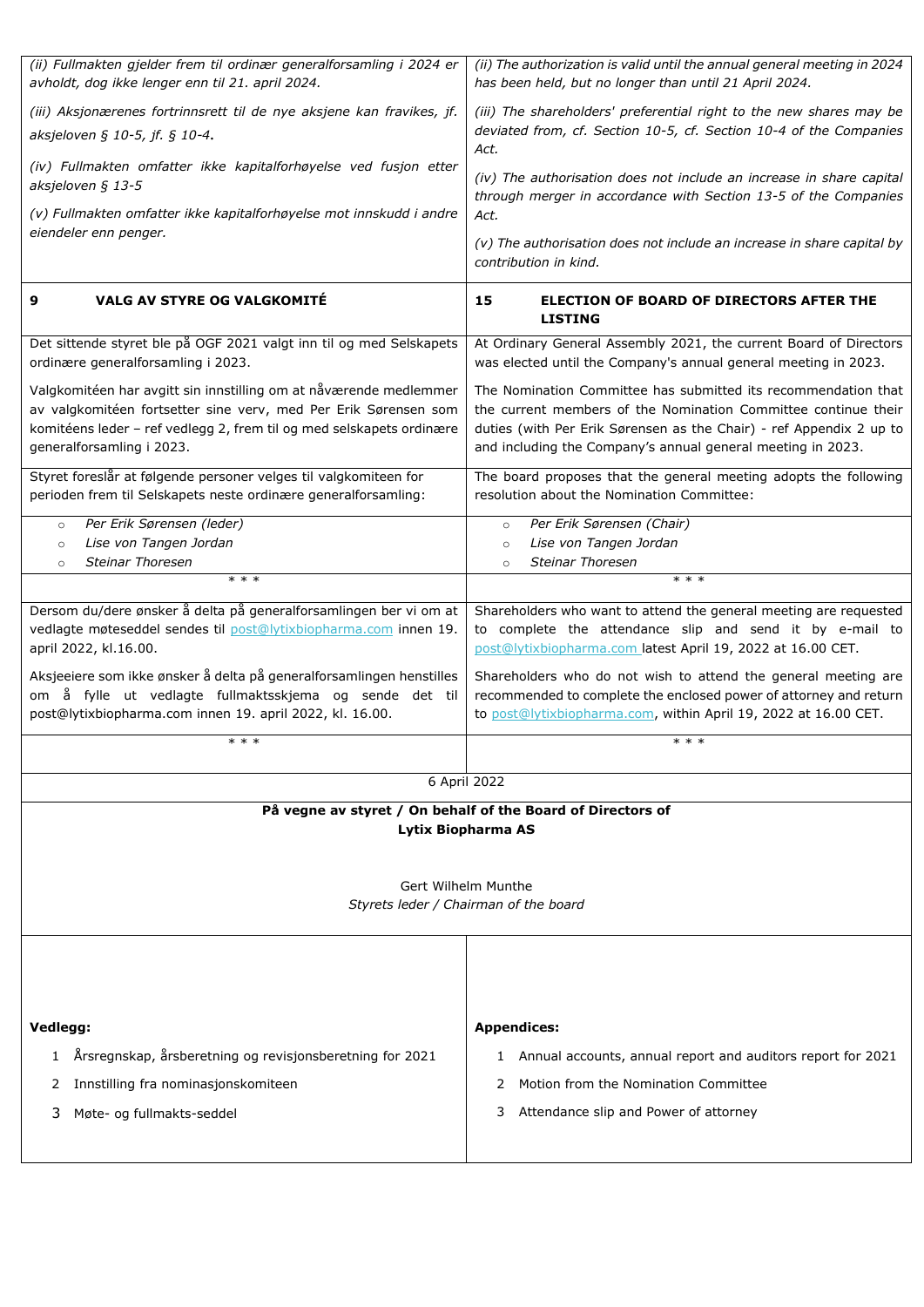| (ii) Fullmakten gjelder frem til ordinær generalforsamling i 2024 er<br>avholdt, dog ikke lenger enn til 21. april 2024.                                                                                                                  | (ii) The authorization is valid until the annual general meeting in 2024<br>has been held, but no longer than until 21 April 2024.                                                                                                                                     |  |  |  |  |
|-------------------------------------------------------------------------------------------------------------------------------------------------------------------------------------------------------------------------------------------|------------------------------------------------------------------------------------------------------------------------------------------------------------------------------------------------------------------------------------------------------------------------|--|--|--|--|
| (iii) Aksjonærenes fortrinnsrett til de nye aksjene kan fravikes, jf.<br>aksjeloven § 10-5, jf. § 10-4.                                                                                                                                   | (iii) The shareholders' preferential right to the new shares may be<br>deviated from, cf. Section 10-5, cf. Section 10-4 of the Companies<br>Act.                                                                                                                      |  |  |  |  |
| (iv) Fullmakten omfatter ikke kapitalforhøyelse ved fusjon etter<br>aksjeloven § 13-5                                                                                                                                                     | (iv) The authorisation does not include an increase in share capital<br>through merger in accordance with Section 13-5 of the Companies                                                                                                                                |  |  |  |  |
| (v) Fullmakten omfatter ikke kapitalforhøyelse mot innskudd i andre<br>eiendeler enn penger.                                                                                                                                              | Act.<br>(v) The authorisation does not include an increase in share capital by<br>contribution in kind.                                                                                                                                                                |  |  |  |  |
| <b>VALG AV STYRE OG VALGKOMITÉ</b><br>9                                                                                                                                                                                                   | 15<br>ELECTION OF BOARD OF DIRECTORS AFTER THE<br><b>LISTING</b>                                                                                                                                                                                                       |  |  |  |  |
| Det sittende styret ble på OGF 2021 valgt inn til og med Selskapets<br>ordinære generalforsamling i 2023.                                                                                                                                 | At Ordinary General Assembly 2021, the current Board of Directors<br>was elected until the Company's annual general meeting in 2023.                                                                                                                                   |  |  |  |  |
| Valgkomitéen har avgitt sin innstilling om at nåværende medlemmer<br>av valgkomitéen fortsetter sine verv, med Per Erik Sørensen som<br>komitéens leder - ref vedlegg 2, frem til og med selskapets ordinære<br>generalforsamling i 2023. | The Nomination Committee has submitted its recommendation that<br>the current members of the Nomination Committee continue their<br>duties (with Per Erik Sørensen as the Chair) - ref Appendix 2 up to<br>and including the Company's annual general meeting in 2023. |  |  |  |  |
| Styret foreslår at følgende personer velges til valgkomiteen for<br>perioden frem til Selskapets neste ordinære generalforsamling:                                                                                                        | The board proposes that the general meeting adopts the following<br>resolution about the Nomination Committee:                                                                                                                                                         |  |  |  |  |
| Per Erik Sørensen (leder)<br>$\circ$<br>Lise von Tangen Jordan<br>$\circ$<br><b>Steinar Thoresen</b><br>$\circ$                                                                                                                           | Per Erik Sørensen (Chair)<br>$\circ$<br>Lise von Tangen Jordan<br>$\circ$<br><b>Steinar Thoresen</b><br>$\circ$                                                                                                                                                        |  |  |  |  |
| $* * *$                                                                                                                                                                                                                                   | $* * *$                                                                                                                                                                                                                                                                |  |  |  |  |
| Dersom du/dere ønsker å delta på generalforsamlingen ber vi om at<br>vedlagte møteseddel sendes til post@lytixbiopharma.com innen 19.<br>april 2022, kl.16.00.                                                                            | Shareholders who want to attend the general meeting are requested<br>to complete the attendance slip and send it by e-mail to<br>post@lytixbiopharma.com latest April 19, 2022 at 16.00 CET.                                                                           |  |  |  |  |
| Aksjeeiere som ikke ønsker å delta på generalforsamlingen henstilles<br>om å fylle ut vedlagte fullmaktsskjema og sende det til<br>post@lytixbiopharma.com innen 19. april 2022, kl. 16.00.                                               | Shareholders who do not wish to attend the general meeting are<br>recommended to complete the enclosed power of attorney and return<br>to post@lytixbiopharma.com, within April 19, 2022 at 16.00 CET.                                                                 |  |  |  |  |
| $***$                                                                                                                                                                                                                                     | $* * *$                                                                                                                                                                                                                                                                |  |  |  |  |
| 6 April 2022                                                                                                                                                                                                                              |                                                                                                                                                                                                                                                                        |  |  |  |  |
|                                                                                                                                                                                                                                           | På vegne av styret / On behalf of the Board of Directors of                                                                                                                                                                                                            |  |  |  |  |
|                                                                                                                                                                                                                                           | Lytix Biopharma AS                                                                                                                                                                                                                                                     |  |  |  |  |
|                                                                                                                                                                                                                                           | Gert Wilhelm Munthe<br>Styrets leder / Chairman of the board                                                                                                                                                                                                           |  |  |  |  |
|                                                                                                                                                                                                                                           |                                                                                                                                                                                                                                                                        |  |  |  |  |
| Vedlegg:                                                                                                                                                                                                                                  | <b>Appendices:</b>                                                                                                                                                                                                                                                     |  |  |  |  |
|                                                                                                                                                                                                                                           |                                                                                                                                                                                                                                                                        |  |  |  |  |
| Årsregnskap, årsberetning og revisjonsberetning for 2021<br>$\mathbf{1}$                                                                                                                                                                  | Annual accounts, annual report and auditors report for 2021<br>1.<br>Motion from the Nomination Committee<br>2                                                                                                                                                         |  |  |  |  |
| Innstilling fra nominasjonskomiteen<br>2<br>Møte- og fullmakts-seddel<br>3                                                                                                                                                                | Attendance slip and Power of attorney<br>3                                                                                                                                                                                                                             |  |  |  |  |
|                                                                                                                                                                                                                                           |                                                                                                                                                                                                                                                                        |  |  |  |  |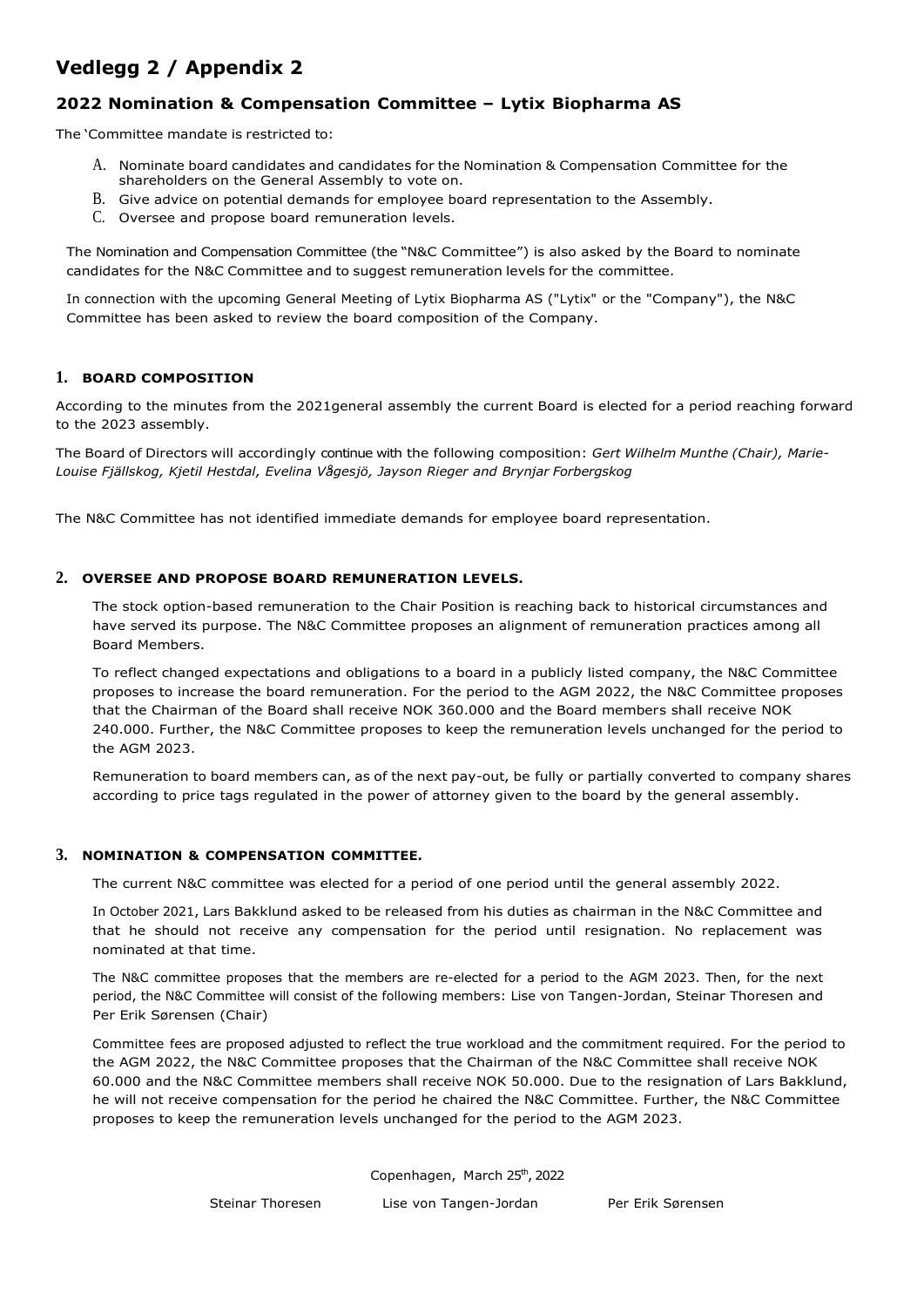# **Vedlegg 2 / Appendix 2**

## **2022 Nomination & Compensation Committee – Lytix Biopharma AS**

The 'Committee mandate is restricted to:

- A. Nominate board candidates and candidates for the Nomination & Compensation Committee for the shareholders on the General Assembly to vote on.
- B. Give advice on potential demands for employee board representation to the Assembly.
- C. Oversee and propose board remuneration levels.

The Nomination and Compensation Committee (the "N&C Committee") is also asked by the Board to nominate candidates for the N&C Committee and to suggest remuneration levels for the committee.

In connection with the upcoming General Meeting of Lytix Biopharma AS ("Lytix" or the "Company"), the N&C Committee has been asked to review the board composition of the Company.

### **1. BOARD COMPOSITION**

According to the minutes from the 2021general assembly the current Board is elected for a period reaching forward to the 2023 assembly.

The Board of Directors will accordingly continue with the following composition: *Gert Wilhelm Munthe (Chair), Marie-Louise Fjällskog, Kjetil Hestdal, Evelina Vågesjö, Jayson Rieger and Brynjar Forbergskog*

The N&C Committee has not identified immediate demands for employee board representation.

### **2. OVERSEE AND PROPOSE BOARD REMUNERATION LEVELS.**

The stock option-based remuneration to the Chair Position is reaching back to historical circumstances and have served its purpose. The N&C Committee proposes an alignment of remuneration practices among all Board Members.

To reflect changed expectations and obligations to a board in a publicly listed company, the N&C Committee proposes to increase the board remuneration. For the period to the AGM 2022, the N&C Committee proposes that the Chairman of the Board shall receive NOK 360.000 and the Board members shall receive NOK 240.000. Further, the N&C Committee proposes to keep the remuneration levels unchanged for the period to the AGM 2023.

Remuneration to board members can, as of the next pay-out, be fully or partially converted to company shares according to price tags regulated in the power of attorney given to the board by the general assembly.

### **3. NOMINATION & COMPENSATION COMMITTEE.**

The current N&C committee was elected for a period of one period until the general assembly 2022.

In October 2021, Lars Bakklund asked to be released from his duties as chairman in the N&C Committee and that he should not receive any compensation for the period until resignation. No replacement was nominated at that time.

The N&C committee proposes that the members are re-elected for a period to the AGM 2023. Then, for the next period, the N&C Committee will consist of the following members: Lise von Tangen-Jordan, Steinar Thoresen and Per Erik Sørensen (Chair)

Committee fees are proposed adjusted to reflect the true workload and the commitment required. For the period to the AGM 2022, the N&C Committee proposes that the Chairman of the N&C Committee shall receive NOK 60.000 and the N&C Committee members shall receive NOK 50.000. Due to the resignation of Lars Bakklund, he will not receive compensation for the period he chaired the N&C Committee. Further, the N&C Committee proposes to keep the remuneration levels unchanged for the period to the AGM 2023.

Copenhagen, March 25th, 2022

Steinar Thoresen Lise von Tangen-Jordan Per Erik Sørensen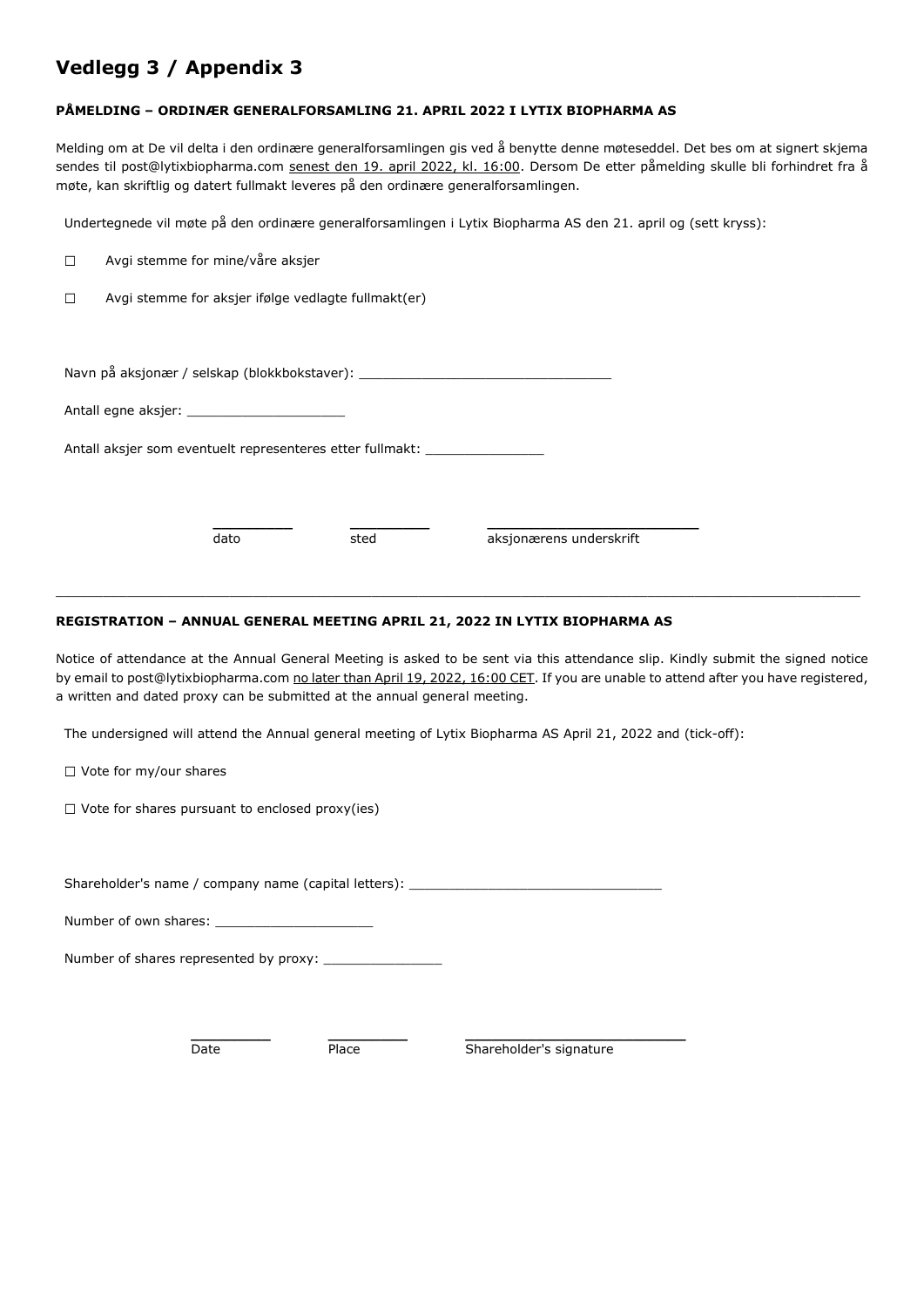## **Vedlegg 3 / Appendix 3**

### **PÅMELDING – ORDINÆR GENERALFORSAMLING 21. APRIL 2022 I LYTIX BIOPHARMA AS**

Melding om at De vil delta i den ordinære generalforsamlingen gis ved å benytte denne møteseddel. Det bes om at signert skjema sendes til post@lytixbiopharma.com senest den 19. april 2022, kl. 16:00. Dersom De etter påmelding skulle bli forhindret fra å møte, kan skriftlig og datert fullmakt leveres på den ordinære generalforsamlingen.

Undertegnede vil møte på den ordinære generalforsamlingen i Lytix Biopharma AS den 21. april og (sett kryss):

| $\Box$                                                    | Avgi stemme for mine/våre aksjer                                                 |  |  |  |  |
|-----------------------------------------------------------|----------------------------------------------------------------------------------|--|--|--|--|
| П                                                         | Avgi stemme for aksjer ifølge vedlagte fullmakt(er)                              |  |  |  |  |
|                                                           |                                                                                  |  |  |  |  |
|                                                           | Navn på aksjonær / selskap (blokkbokstaver): ___________________________________ |  |  |  |  |
|                                                           |                                                                                  |  |  |  |  |
| Antall aksjer som eventuelt representeres etter fullmakt: |                                                                                  |  |  |  |  |
|                                                           |                                                                                  |  |  |  |  |
|                                                           | aksjonærens underskrift<br>dato<br>sted                                          |  |  |  |  |

### **REGISTRATION – ANNUAL GENERAL MEETING APRIL 21, 2022 IN LYTIX BIOPHARMA AS**

Notice of attendance at the Annual General Meeting is asked to be sent via this attendance slip. Kindly submit the signed notice by email to post@lytixbiopharma.com no later than April 19, 2022, 16:00 CET. If you are unable to attend after you have registered, a written and dated proxy can be submitted at the annual general meeting.

\_\_\_\_\_\_\_\_\_\_\_\_\_\_\_\_\_\_\_\_\_\_\_\_\_\_\_\_\_\_\_\_\_\_\_\_\_\_\_\_\_\_\_\_\_\_\_\_\_\_\_\_\_\_\_\_\_\_\_\_\_\_\_\_\_\_\_\_\_\_\_\_\_\_\_\_\_\_\_\_\_\_\_\_\_\_\_\_\_\_\_\_\_\_\_\_\_\_\_\_\_\_

The undersigned will attend the Annual general meeting of Lytix Biopharma AS April 21, 2022 and (tick-off):

 $\Box$  Vote for my/our shares

 $\Box$  Vote for shares pursuant to enclosed proxy(ies)

Shareholder's name / company name (capital letters): \_

Number of own shares: \_

Number of shares represented by proxy: \_\_\_\_\_\_\_\_\_\_\_\_\_\_\_

**\_\_\_\_\_\_\_\_\_ \_\_\_\_\_\_\_\_\_ \_\_\_\_\_\_\_\_\_\_\_\_\_\_\_\_\_\_\_\_\_\_\_\_\_**  Date Place Shareholder's signature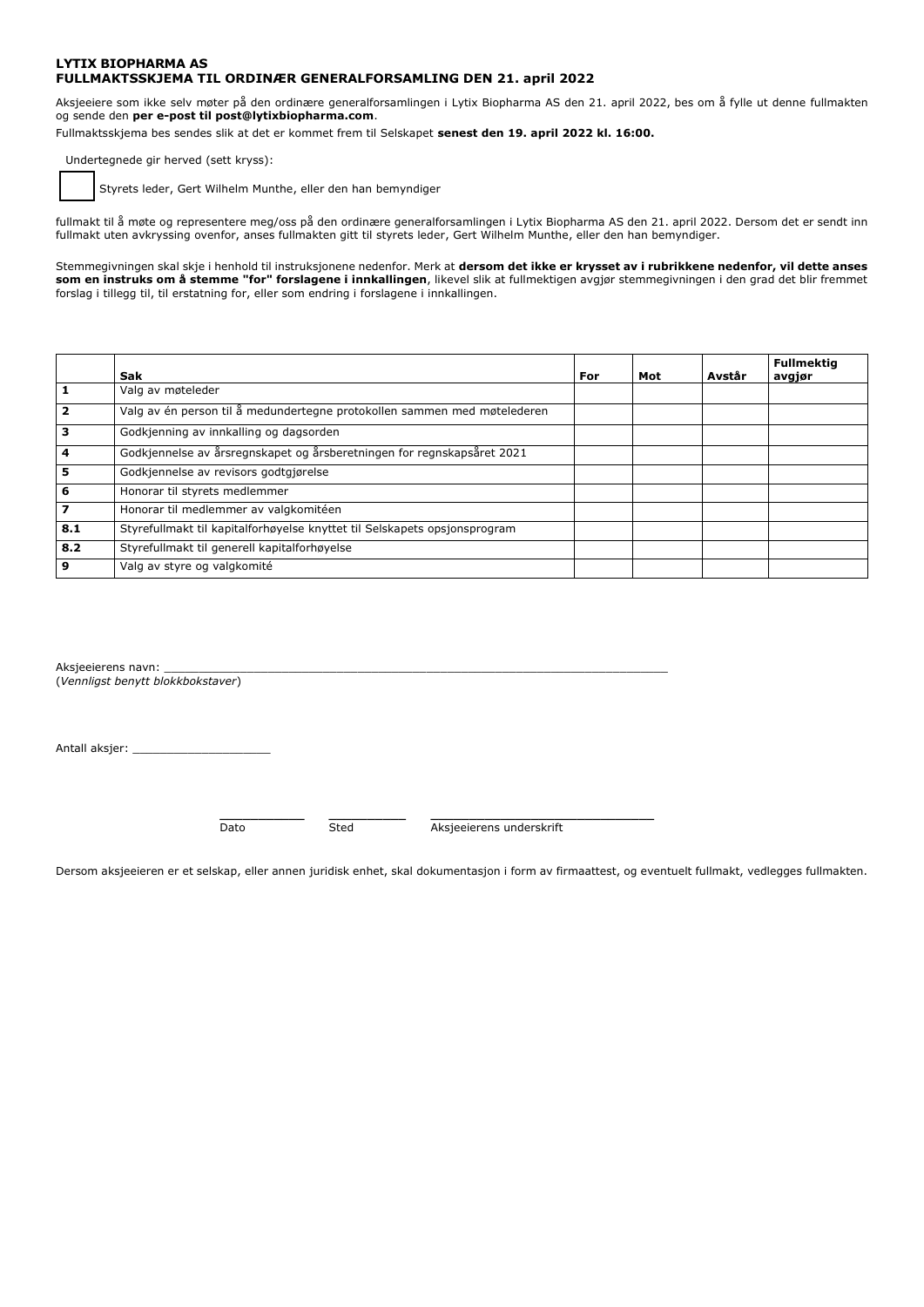#### **LYTIX BIOPHARMA AS FULLMAKTSSKJEMA TIL ORDINÆR GENERALFORSAMLING DEN 21. april 2022**

Aksjeeiere som ikke selv møter på den ordinære generalforsamlingen i Lytix Biopharma AS den 21. april 2022, bes om å fylle ut denne fullmakten og sende den **per e-post til post@lytixbiopharma.com**.

Fullmaktsskjema bes sendes slik at det er kommet frem til Selskapet **senest den 19. april 2022 kl. 16:00.**

Undertegnede gir herved (sett kryss):

Styrets leder, Gert Wilhelm Munthe, eller den han bemyndiger

fullmakt til å møte og representere meg/oss på den ordinære generalforsamlingen i Lytix Biopharma AS den 21. april 2022. Dersom det er sendt inn fullmakt uten avkryssing ovenfor, anses fullmakten gitt til styrets leder, Gert Wilhelm Munthe, eller den han bemyndiger.

Stemmegivningen skal skje i henhold til instruksjonene nedenfor. Merk at **dersom det ikke er krysset av i rubrikkene nedenfor, vil dette anses som en instruks om å stemme "for" forslagene i innkallingen**, likevel slik at fullmektigen avgjør stemmegivningen i den grad det blir fremmet forslag i tillegg til, til erstatning for, eller som endring i forslagene i innkallingen.

|     | Sak                                                                       | For | Mot | Avstår | <b>Fullmektia</b><br>avgjør |
|-----|---------------------------------------------------------------------------|-----|-----|--------|-----------------------------|
|     | Valg av møteleder                                                         |     |     |        |                             |
|     | Valg av én person til å medundertegne protokollen sammen med møtelederen  |     |     |        |                             |
| 3   | Godkjenning av innkalling og dagsorden                                    |     |     |        |                             |
| 4   | Godkjennelse av årsregnskapet og årsberetningen for regnskapsåret 2021    |     |     |        |                             |
| 5   | Godkjennelse av revisors godtgjørelse                                     |     |     |        |                             |
| 6   | Honorar til styrets medlemmer                                             |     |     |        |                             |
| 7   | Honorar til medlemmer av valgkomitéen                                     |     |     |        |                             |
| 8.1 | Styrefullmakt til kapitalforhøyelse knyttet til Selskapets opsjonsprogram |     |     |        |                             |
| 8.2 | Styrefullmakt til generell kapitalforhøyelse                              |     |     |        |                             |
| 9   | Valg av styre og valgkomité                                               |     |     |        |                             |

Aksieeierens navn: (*Vennligst benytt blokkbokstaver*)

Antall aksjer: \_

**\_\_\_\_\_\_\_\_\_\_\_ \_\_\_\_\_\_\_\_\_\_ \_\_\_\_\_\_\_\_\_\_\_\_\_\_\_\_\_\_\_\_\_\_\_\_\_\_\_\_\_**

Dato Sted Aksjeeierens underskrift

Dersom aksjeeieren er et selskap, eller annen juridisk enhet, skal dokumentasjon i form av firmaattest, og eventuelt fullmakt, vedlegges fullmakten.